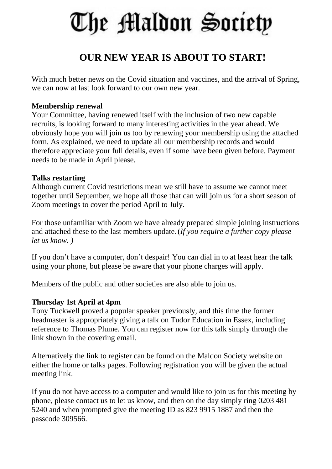# The Maldon Society

## **OUR NEW YEAR IS ABOUT TO START!**

With much better news on the Covid situation and vaccines, and the arrival of Spring, we can now at last look forward to our own new year.

#### **Membership renewal**

Your Committee, having renewed itself with the inclusion of two new capable recruits, is looking forward to many interesting activities in the year ahead. We obviously hope you will join us too by renewing your membership using the attached form. As explained, we need to update all our membership records and would therefore appreciate your full details, even if some have been given before. Payment needs to be made in April please.

#### **Talks restarting**

Although current Covid restrictions mean we still have to assume we cannot meet together until September, we hope all those that can will join us for a short season of Zoom meetings to cover the period April to July.

For those unfamiliar with Zoom we have already prepared simple joining instructions and attached these to the last members update. (*If you require a further copy please let us know. )*

If you don't have a computer, don't despair! You can dial in to at least hear the talk using your phone, but please be aware that your phone charges will apply.

Members of the public and other societies are also able to join us.

### **Thursday 1st April at 4pm**

Tony Tuckwell proved a popular speaker previously, and this time the former headmaster is appropriately giving a talk on Tudor Education in Essex, including reference to Thomas Plume. You can register now for this talk simply through the link shown in the covering email.

Alternatively the link to register can be found on the Maldon Society website on either the home or talks pages. Following registration you will be given the actual meeting link.

If you do not have access to a computer and would like to join us for this meeting by phone, please contact us to let us know, and then on the day simply ring 0203 481 5240 and when prompted give the meeting ID as 823 9915 1887 and then the passcode 309566.